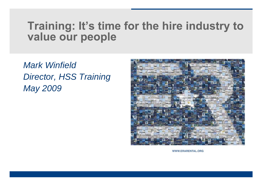# Training: It's time for the hire industry to value our people

*Mark Winfield Director, HSS Training May 2009*



WWW.ERARENTAL.ORG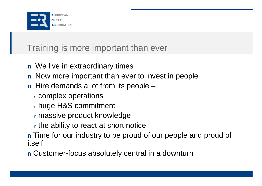

### Training is more important than ever

- n We live in extraordinary times
- n Now more important than ever to invest in people
- n Hire demands a lot from its people
	- <sup>n</sup> complex operations
	- <sup>n</sup> huge H&S commitment
	- <sup>n</sup> massive product knowledge
	- <sup>n</sup> the ability to react at short notice
- n Time for our industry to be proud of our people and proud of itself
- n Customer-focus absolutely central in a downturn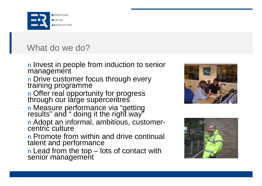

#### What do we do?

n Invest in people from induction to senior management

n Drive customer focus through every training programme

n Offer real opportunity for progress through our large supércentres

n Measure performance via "getting results" and " doing it the right way"

n Adopt an informal, ambitious, customercentric culture

n Promote from within and drive continual talent and performance

n Lead from the top – lots of contact with senior management



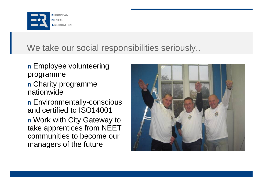

### We take our social responsibilities seriously...

- n Employee volunteering programme
- n Charity programme nationwide
- n Environmentally-conscious and certified to ISO14001 n Work with City Gateway to take apprentices from NEET communities to become our managers of the future

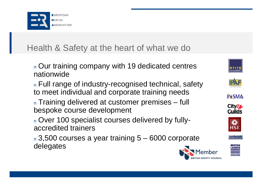

## Health & Safety at the heart of what we do

<sup>n</sup> Our training company with 19 dedicated centres nationwide

<sup>n</sup> Full range of industry-recognised technical, safety to meet individual and corporate training needs

<sup>n</sup> Training delivered at customer premises – full bespoke course development

<sup>n</sup> Over 100 specialist courses delivered by fullyaccredited trainers

<sup>n</sup> 3,500 courses a year training 5 – 6000 corporate delegates











ıebosh

Anne